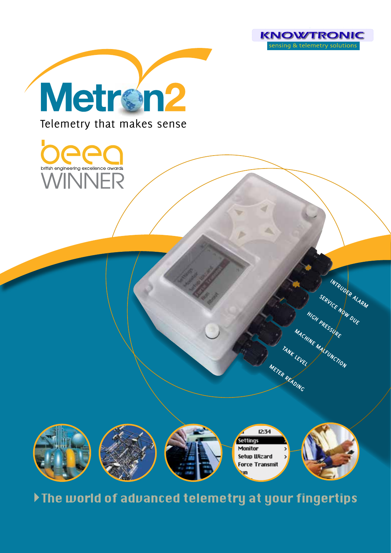

**INTRUDER ALARM**

**SERVICE NOW DUE**

**HIGH PRESSURE**

**MACHINE MALFUNCTION**

**TANK LEVEL**

**METER READING**



Telemetry that makes sense





Ine world of advanced telemetry at your fingertips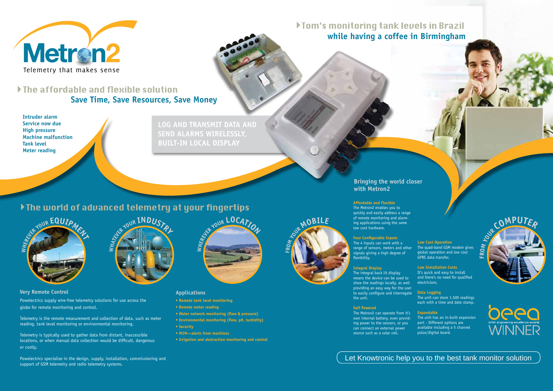

Telemetry that makes sense

Powelectrics supply wire-free telemetry solutions for use across the globe for remote monitoring and control.

Telemetry is the remote measurement and collection of data, such as meter reading, tank level monitoring or environmental monitoring.

Telemetry is typically used to gather data from distant, inaccessible locations, or when manual data collection would be difficult, dangerous or costly.



### **Applications**

- **Remote tank level monitoring**
- **Remote meter reading**
- **Water network monitoring (flow & pressure)**
- **Environmental monitoring (flow, pH, turbidity)**
- **Security**
- **M2M—alerts from machines**
- **Irrigation and abstraction monitoring and control**

### **Affordable and Flexible**

The Metron2 enables you to quickly and easily address a range of remote monitoring and alarming applications using the same low cost hardware.

### **Four Configurable Inputs**

# If The affordable and flexible solution **Save Time, Save Resources, Save Money**

The 4 inputs can work with a range of sensors, meters and other signals giving a high degree of flexibility.

### **Integral Display**

# Tom's monitoring tank levels in Brazil  **while having a coffee in Birmingham**

The integral back lit display means the device can be used to show the readings locally, as well providing an easy way for the user to easily configure and interrogate the unit.

### **Self Powered**

The Metron2 can operate from it's own internal battery, even providing power to the sensors, or you can connect an external power source such as a solar cell.

### **Bringing the world closer with Metron2**

### **Very Remote Control**

### **Low Cost Operation**

The quad-band GSM modem gives global operation and low cost GPRS data transfer.

### **Low Installation Costs**

It's quick and easy to install and there's no need for qualified electricians.

### **Data Logging**

The unit can store 1,500 readings each with a time and date stamp.

### **Expandable**

The unit has an in-built expansion port - Different options are available including a 5 channel pulse/digital board.

# **CMPU**





# Let Knowtronic help you to the best tank monitor solution



**W**

**HATEVE<sup>R</sup> <sup>Y</sup>OU<sup>R</sup> <sup>I</sup>NDUSTR<sup>Y</sup>**

**FROM**  $M$ 

**WHEREVE<sup>R</sup> <sup>Y</sup>OU<sup>R</sup> <sup>L</sup>OCATIO<sup>N</sup>**

**LOG AND TRANSMIT DATA AND SEND ALARMS WIRELESSLY, BUILT-IN LOCAL DISPLAY**

# If The world of advanced telemetry at your fingertips

**Intruder alarm Service now due High pressure Machine malfunction Tank level Meter reading**